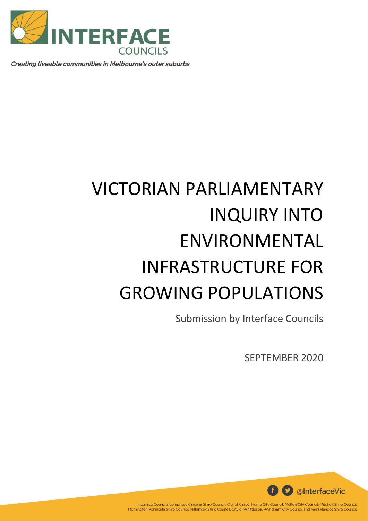

Creating liveable communities in Melbourne's outer suburbs

# VICTORIAN PARLIAMENTARY INQUIRY INTO ENVIRONMENTAL INFRASTRUCTURE FOR GROWING POPULATIONS

Submission by Interface Councils

SEPTEMBER 2020



Interface Councils comprises Cardinia Shire Council, City of Casey, Hume City Council, Melton City Council, Mitchell Shire Council, Mornington Peninsula Shire Council, Nillumbik Shire Council, City of Whittlesea, Wyndham City Council and Yarra Ranges Shire Council.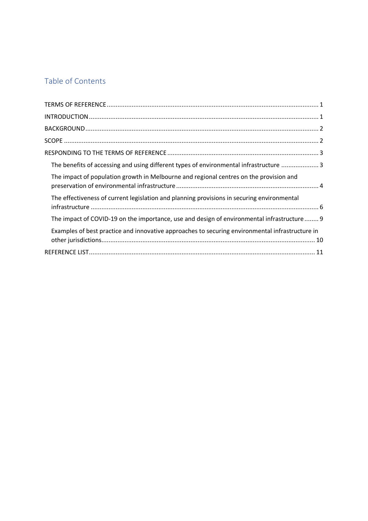# Table of Contents

| The benefits of accessing and using different types of environmental infrastructure  3          |
|-------------------------------------------------------------------------------------------------|
| The impact of population growth in Melbourne and regional centres on the provision and          |
| The effectiveness of current legislation and planning provisions in securing environmental      |
| The impact of COVID-19 on the importance, use and design of environmental infrastructure 9      |
| Examples of best practice and innovative approaches to securing environmental infrastructure in |
|                                                                                                 |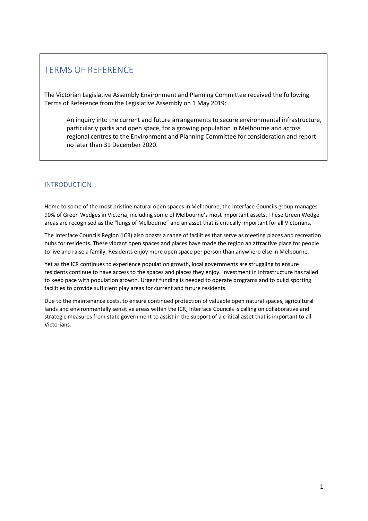# TERMS OF REFERENCE

The Victorian Legislative Assembly Environment and Planning Committee received the following Terms of Reference from the Legislative Assembly on 1 May 2019:

An inquiry into the current and future arrangements to secure environmental infrastructure, particularly parks and open space, for a growing population in Melbourne and across regional centres to the Environment and Planning Committee for consideration and report no later than 31 December 2020.

# <span id="page-2-0"></span>INTRODUCTION

Home to some of the most pristine natural open spaces in Melbourne, the Interface Councils group manages 90% of Green Wedges in Victoria, including some of Melbourne's most important assets. These Green Wedge areas are recognised as the "lungs of Melbourne" and an asset that is critically important for all Victorians.

The Interface Councils Region (ICR) also boasts a range of facilities that serve as meeting places and recreation hubs for residents. These vibrant open spaces and places have made the region an attractive place for people to live and raise a family. Residents enjoy more open space per person than anywhere else in Melbourne.

Yet as the ICR continues to experience population growth, local governments are struggling to ensure residents continue to have access to the spaces and places they enjoy. Investment in infrastructure has failed to keep pace with population growth. Urgent funding is needed to operate programs and to build sporting facilities to provide sufficient play areas for current and future residents.

Due to the maintenance costs, to ensure continued protection of valuable open natural spaces, agricultural lands and environmentally sensitive areas within the ICR, Interface Councils is calling on collaborative and strategic measures from state government to assist in the support of a critical asset that is important to all Victorians.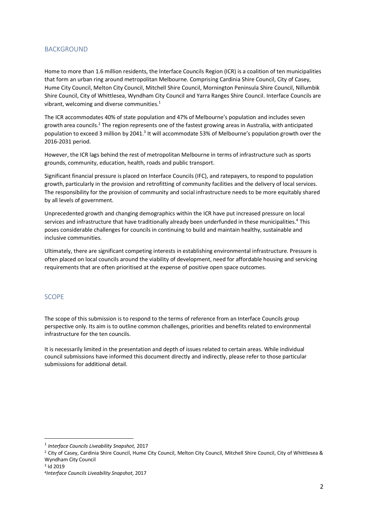# <span id="page-3-0"></span>**BACKGROUND**

Home to more than 1.6 million residents, the Interface Councils Region (ICR) is a coalition of ten municipalities that form an urban ring around metropolitan Melbourne. Comprising Cardinia Shire Council, City of Casey, Hume City Council, Melton City Council, Mitchell Shire Council, Mornington Peninsula Shire Council, Nillumbik Shire Council, City of Whittlesea, Wyndham City Council and Yarra Ranges Shire Council. Interface Councils are vibrant, welcoming and diverse communities. 1

The ICR accommodates 40% of state population and 47% of Melbourne's population and includes seven growth area councils.<sup>2</sup> The region represents one of the fastest growing areas in Australia, with anticipated population to exceed 3 million by 2041.<sup>3</sup> It will accommodate 53% of Melbourne's population growth over the 2016-2031 period.

However, the ICR lags behind the rest of metropolitan Melbourne in terms of infrastructure such as sports grounds, community, education, health, roads and public transport.

Significant financial pressure is placed on Interface Councils (IFC), and ratepayers, to respond to population growth, particularly in the provision and retrofitting of community facilities and the delivery of local services. The responsibility for the provision of community and social infrastructure needs to be more equitably shared by all levels of government.

Unprecedented growth and changing demographics within the ICR have put increased pressure on local services and infrastructure that have traditionally already been underfunded in these municipalities. <sup>4</sup> This poses considerable challenges for councils in continuing to build and maintain healthy, sustainable and inclusive communities.

Ultimately, there are significant competing interests in establishing environmental infrastructure. Pressure is often placed on local councils around the viability of development, need for affordable housing and servicing requirements that are often prioritised at the expense of positive open space outcomes.

## <span id="page-3-1"></span>**SCOPE**

The scope of this submission is to respond to the terms of reference from an Interface Councils group perspective only. Its aim is to outline common challenges, priorities and benefits related to environmental infrastructure for the ten councils.

It is necessarily limited in the presentation and depth of issues related to certain areas. While individual council submissions have informed this document directly and indirectly, please refer to those particular submissions for additional detail.

1

<sup>1</sup> *Interface Councils Liveability Snapshot,* 2017

<sup>2</sup> City of Casey, Cardinia Shire Council, Hume City Council, Melton City Council, Mitchell Shire Council, City of Whittlesea & Wyndham City Council

<sup>3</sup> Id 2019

<sup>4</sup> *Interface Councils Liveability Snapshot,* 2017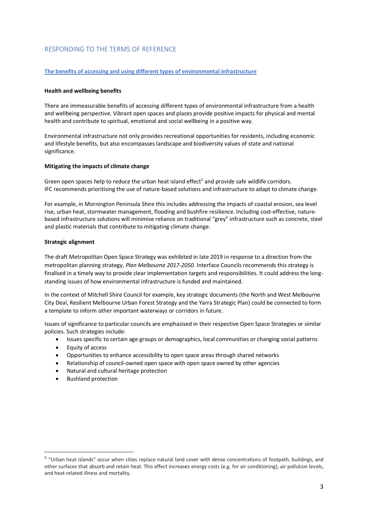# <span id="page-4-0"></span>RESPONDING TO THE TERMS OF REFERENCE

#### <span id="page-4-1"></span>**The benefits of accessing and using different types of environmental infrastructure**

#### **Health and wellbeing benefits**

There are immeasurable benefits of accessing different types of environmental infrastructure from a health and wellbeing perspective. Vibrant open spaces and places provide positive impacts for physical and mental health and contribute to spiritual, emotional and social wellbeing in a positive way.

Environmental infrastructure not only provides recreational opportunities for residents, including economic and lifestyle benefits, but also encompasses landscape and biodiversity values of state and national significance.

#### **Mitigating the impacts of climate change**

Green open spaces help to reduce the urban heat island effect<sup>5</sup> and provide safe wildlife corridors. IFC recommends prioritising the use of nature-based solutions and infrastructure to adapt to climate change.

For example, in Mornington Peninsula Shire this includes addressing the impacts of coastal erosion, sea level rise, urban heat, stormwater management, flooding and bushfire resilience. Including cost-effective, naturebased infrastructure solutions will minimise reliance on traditional "grey" infrastructure such as concrete, steel and plastic materials that contribute to mitigating climate change.

### **Strategic alignment**

The draft Metropolitan Open Space Strategy was exhibited in late 2019 in response to a direction from the metropolitan planning strategy, *Plan Melbourne 2017-2050*. Interface Councils recommends this strategy is finalised in a timely way to provide clear implementation targets and responsibilities. It could address the longstanding issues of how environmental infrastructure is funded and maintained.

In the context of Mitchell Shire Council for example, key strategic documents (the North and West Melbourne City Deal, Resilient Melbourne Urban Forest Strategy and the Yarra Strategic Plan) could be connected to form a template to inform other important waterways or corridors in future.

Issues of significance to particular councils are emphasised in their respective Open Space Strategies or similar policies. Such strategies include:

- Issues specific to certain age groups or demographics, local communities or changing social patterns
- Equity of access
- Opportunities to enhance accessibility to open space areas through shared networks
- Relationship of council-owned open space with open space owned by other agencies
- Natural and cultural heritage protection
- Bushland protection

1

<sup>&</sup>lt;sup>5</sup> "Urban heat islands" occur when cities replace natural land cover with dense concentrations of footpath, buildings, and other surfaces that absorb and retain heat. This effect increases energy costs (e.g. for air conditioning), air pollution levels, and heat-related illness and mortality.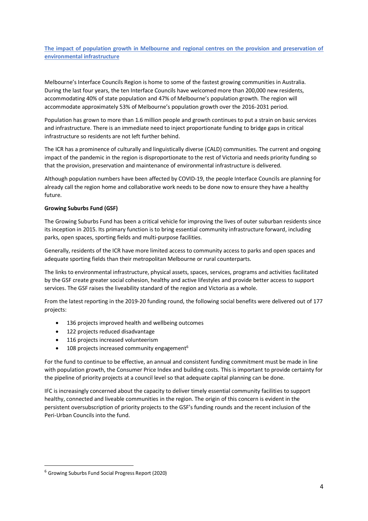<span id="page-5-0"></span>**The impact of population growth in Melbourne and regional centres on the provision and preservation of environmental infrastructure** 

Melbourne's Interface Councils Region is home to some of the fastest growing communities in Australia. During the last four years, the ten Interface Councils have welcomed more than 200,000 new residents, accommodating 40% of state population and 47% of Melbourne's population growth. The region will accommodate approximately 53% of Melbourne's population growth over the 2016-2031 period.

Population has grown to more than 1.6 million people and growth continues to put a strain on basic services and infrastructure. There is an immediate need to inject proportionate funding to bridge gaps in critical infrastructure so residents are not left further behind.

The ICR has a prominence of culturally and linguistically diverse (CALD) communities. The current and ongoing impact of the pandemic in the region is disproportionate to the rest of Victoria and needs priority funding so that the provision, preservation and maintenance of environmental infrastructure is delivered.

Although population numbers have been affected by COVID-19, the people Interface Councils are planning for already call the region home and collaborative work needs to be done now to ensure they have a healthy future.

#### **Growing Suburbs Fund (GSF)**

The Growing Suburbs Fund has been a critical vehicle for improving the lives of outer suburban residents since its inception in 2015. Its primary function is to bring essential community infrastructure forward, including parks, open spaces, sporting fields and multi-purpose facilities.

Generally, residents of the ICR have more limited access to community access to parks and open spaces and adequate sporting fields than their metropolitan Melbourne or rural counterparts.

The links to environmental infrastructure, physical assets, spaces, services, programs and activities facilitated by the GSF create greater social cohesion, healthy and active lifestyles and provide better access to support services. The GSF raises the liveability standard of the region and Victoria as a whole.

From the latest reporting in the 2019-20 funding round, the following social benefits were delivered out of 177 projects:

- 136 projects improved health and wellbeing outcomes
- 122 projects reduced disadvantage
- 116 projects increased volunteerism
- $\bullet$  108 projects increased community engagement<sup>6</sup>

For the fund to continue to be effective, an annual and consistent funding commitment must be made in line with population growth, the Consumer Price Index and building costs. This is important to provide certainty for the pipeline of priority projects at a council level so that adequate capital planning can be done.

IFC is increasingly concerned about the capacity to deliver timely essential community facilities to support healthy, connected and liveable communities in the region. The origin of this concern is evident in the persistent oversubscription of priority projects to the GSF's funding rounds and the recent inclusion of the Peri-Urban Councils into the fund.

-

<sup>6</sup> Growing Suburbs Fund Social Progress Report (2020)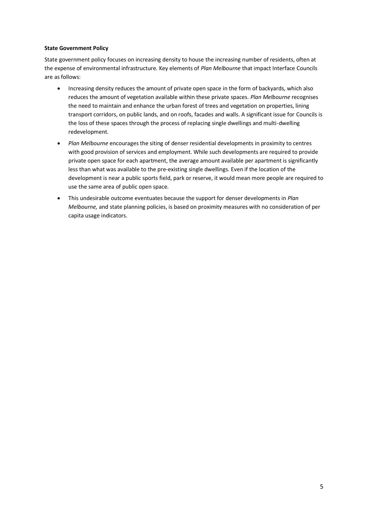#### **State Government Policy**

State government policy focuses on increasing density to house the increasing number of residents, often at the expense of environmental infrastructure. Key elements of *Plan Melbourne* that impact Interface Councils are as follows:

- Increasing density reduces the amount of private open space in the form of backyards, which also reduces the amount of vegetation available within these private spaces. *Plan Melbourne* recognises the need to maintain and enhance the urban forest of trees and vegetation on properties, lining transport corridors, on public lands, and on roofs, facades and walls. A significant issue for Councils is the loss of these spaces through the process of replacing single dwellings and multi-dwelling redevelopment.
- *Plan Melbourne* encourages the siting of denser residential developments in proximity to centres with good provision of services and employment. While such developments are required to provide private open space for each apartment, the average amount available per apartment is significantly less than what was available to the pre-existing single dwellings. Even if the location of the development is near a public sports field, park or reserve, it would mean more people are required to use the same area of public open space.
- This undesirable outcome eventuates because the support for denser developments in *Plan Melbourne,* and state planning policies, is based on proximity measures with no consideration of per capita usage indicators.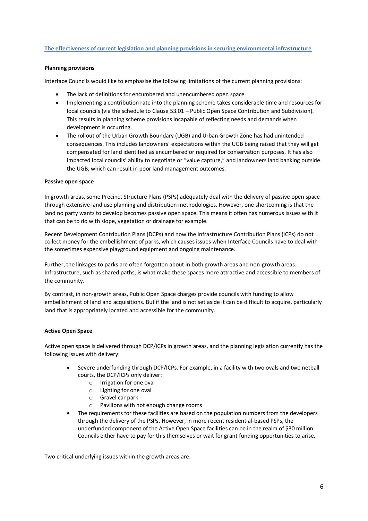#### <span id="page-7-0"></span>**The effectiveness of current legislation and planning provisions in securing environmental infrastructure**

#### **Planning provisions**

Interface Councils would like to emphasise the following limitations of the current planning provisions:

- The lack of definitions for encumbered and unencumbered open space
- Implementing a contribution rate into the planning scheme takes considerable time and resources for local councils (via the schedule to Clause 53.01 – Public Open Space Contribution and Subdivision). This results in planning scheme provisions incapable of reflecting needs and demands when development is occurring.
- The rollout of the Urban Growth Boundary (UGB) and Urban Growth Zone has had unintended consequences. This includes landowners' expectations within the UGB being raised that they will get compensated for land identified as encumbered or required for conservation purposes. It has also impacted local councils' ability to negotiate or "value capture," and landowners land banking outside the UGB, which can result in poor land management outcomes.

#### **Passive open space**

In growth areas, some Precinct Structure Plans (PSPs) adequately deal with the delivery of passive open space through extensive land use planning and distribution methodologies. However, one shortcoming is that the land no party wants to develop becomes passive open space. This means it often has numerous issues with it that can be to do with slope, vegetation or drainage for example.

Recent Development Contribution Plans (DCPs) and now the Infrastructure Contribution Plans (ICPs) do not collect money for the embellishment of parks, which causes issues when Interface Councils have to deal with the sometimes expensive playground equipment and ongoing maintenance.

Further, the linkages to parks are often forgotten about in both growth areas and non-growth areas. Infrastructure, such as shared paths, is what make these spaces more attractive and accessible to members of the community.

By contrast, in non-growth areas, Public Open Space charges provide councils with funding to allow embellishment of land and acquisitions. But if the land is not set aside it can be difficult to acquire, particularly land that is appropriately located and accessible for the community.

## **Active Open Space**

Active open space is delivered through DCP/ICPs in growth areas, and the planning legislation currently has the following issues with delivery:

- Severe underfunding through DCP/ICPs. For example, in a facility with two ovals and two netball courts, the DCP/ICPs only deliver:
	- o Irrigation for one oval
	- o Lighting for one oval
	- o Gravel car park
	- o Pavilions with not enough change rooms
- The requirements for these facilities are based on the population numbers from the developers through the delivery of the PSPs. However, in more recent residential-based PSPs, the underfunded component of the Active Open Space facilities can be in the realm of \$30 million. Councils either have to pay for this themselves or wait for grant funding opportunities to arise.

Two critical underlying issues within the growth areas are: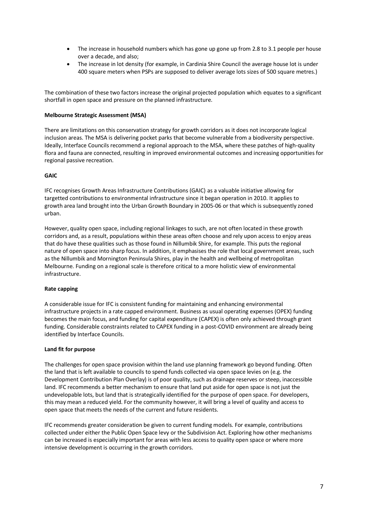- The increase in household numbers which has gone up gone up from 2.8 to 3.1 people per house over a decade, and also;
- The increase in lot density (for example, in Cardinia Shire Council the average house lot is under 400 square meters when PSPs are supposed to deliver average lots sizes of 500 square metres.)

The combination of these two factors increase the original projected population which equates to a significant shortfall in open space and pressure on the planned infrastructure.

#### **Melbourne Strategic Assessment (MSA)**

There are limitations on this conservation strategy for growth corridors as it does not incorporate logical inclusion areas. The MSA is delivering pocket parks that become vulnerable from a biodiversity perspective. Ideally, Interface Councils recommend a regional approach to the MSA, where these patches of high-quality flora and fauna are connected, resulting in improved environmental outcomes and increasing opportunities for regional passive recreation.

#### **GAIC**

IFC recognises Growth Areas Infrastructure Contributions (GAIC) as a valuable initiative allowing for targetted contributions to environmental infrastructure since it began operation in 2010. It applies to growth area land brought into the Urban Growth Boundary in 2005-06 or that which is subsequently zoned urban.

However, quality open space, including regional linkages to such, are not often located in these growth corridors and, as a result, populations within these areas often choose and rely upon access to enjoy areas that do have these qualities such as those found in Nillumbik Shire, for example. This puts the regional nature of open space into sharp focus. In addition, it emphasises the role that local government areas, such as the Nillumbik and Mornington Peninsula Shires, play in the health and wellbeing of metropolitan Melbourne. Funding on a regional scale is therefore critical to a more holistic view of environmental infrastructure.

#### **Rate capping**

A considerable issue for IFC is consistent funding for maintaining and enhancing environmental infrastructure projects in a rate capped environment. Business as usual operating expenses (OPEX) funding becomes the main focus, and funding for capital expenditure (CAPEX) is often only achieved through grant funding. Considerable constraints related to CAPEX funding in a post-COVID environment are already being identified by Interface Councils.

#### **Land fit for purpose**

The challenges for open space provision within the land use planning framework go beyond funding. Often the land that is left available to councils to spend funds collected via open space levies on (e.g. the Development Contribution Plan Overlay) is of poor quality, such as drainage reserves or steep, inaccessible land. IFC recommends a better mechanism to ensure that land put aside for open space is not just the undevelopable lots, but land that is strategically identified for the purpose of open space. For developers, this may mean a reduced yield. For the community however, it will bring a level of quality and access to open space that meets the needs of the current and future residents.

IFC recommends greater consideration be given to current funding models. For example, contributions collected under either the Public Open Space levy or the Subdivision Act. Exploring how other mechanisms can be increased is especially important for areas with less access to quality open space or where more intensive development is occurring in the growth corridors.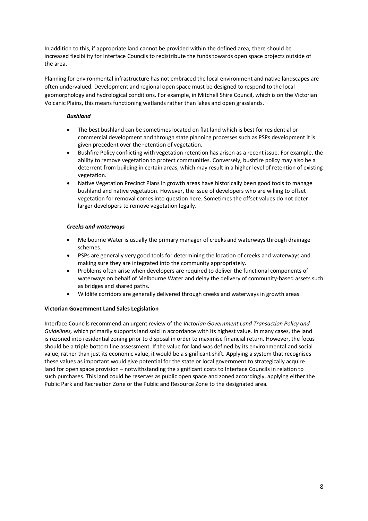In addition to this, if appropriate land cannot be provided within the defined area, there should be increased flexibility for Interface Councils to redistribute the funds towards open space projects outside of the area.

Planning for environmental infrastructure has not embraced the local environment and native landscapes are often undervalued. Development and regional open space must be designed to respond to the local geomorphology and hydrological conditions. For example, in Mitchell Shire Council, which is on the Victorian Volcanic Plains, this means functioning wetlands rather than lakes and open grasslands.

# *Bushland*

- The best bushland can be sometimes located on flat land which is best for residential or commercial development and through state planning processes such as PSPs development it is given precedent over the retention of vegetation.
- Bushfire Policy conflicting with vegetation retention has arisen as a recent issue. For example, the ability to remove vegetation to protect communities. Conversely, bushfire policy may also be a deterrent from building in certain areas, which may result in a higher level of retention of existing vegetation.
- Native Vegetation Precinct Plans in growth areas have historically been good tools to manage bushland and native vegetation. However, the issue of developers who are willing to offset vegetation for removal comes into question here. Sometimes the offset values do not deter larger developers to remove vegetation legally.

# *Creeks and waterways*

- Melbourne Water is usually the primary manager of creeks and waterways through drainage schemes.
- PSPs are generally very good tools for determining the location of creeks and waterways and making sure they are integrated into the community appropriately.
- Problems often arise when developers are required to deliver the functional components of waterways on behalf of Melbourne Water and delay the delivery of community-based assets such as bridges and shared paths.
- Wildlife corridors are generally delivered through creeks and waterways in growth areas.

# **Victorian Government Land Sales Legislation**

Interface Councils recommend an urgent review of the *Victorian Government Land Transaction Policy and Guidelines,* which primarily supports land sold in accordance with its highest value. In many cases, the land is rezoned into residential zoning prior to disposal in order to maximise financial return. However, the focus should be a triple bottom line assessment. If the value for land was defined by its environmental and social value, rather than just its economic value, it would be a significant shift. Applying a system that recognises these values as important would give potential for the state or local government to strategically acquire land for open space provision – notwithstanding the significant costs to Interface Councils in relation to such purchases. This land could be reserves as public open space and zoned accordingly, applying either the Public Park and Recreation Zone or the Public and Resource Zone to the designated area.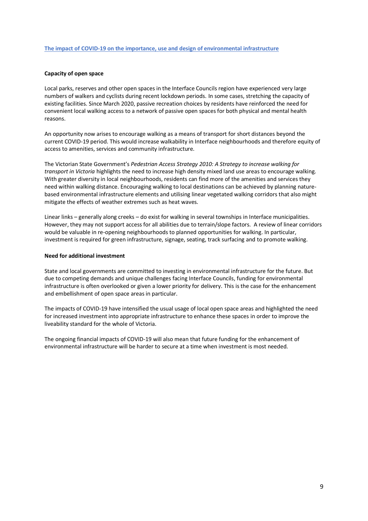#### <span id="page-10-0"></span>**The impact of COVID-19 on the importance, use and design of environmental infrastructure**

#### **Capacity of open space**

Local parks, reserves and other open spaces in the Interface Councils region have experienced very large numbers of walkers and cyclists during recent lockdown periods. In some cases, stretching the capacity of existing facilities. Since March 2020, passive recreation choices by residents have reinforced the need for convenient local walking access to a network of passive open spaces for both physical and mental health reasons.

An opportunity now arises to encourage walking as a means of transport for short distances beyond the current COVID-19 period. This would increase walkability in Interface neighbourhoods and therefore equity of access to amenities, services and community infrastructure.

The Victorian State Government's *Pedestrian Access Strategy 2010: A Strategy to increase walking for transport in Victoria* highlights the need to increase high density mixed land use areas to encourage walking. With greater diversity in local neighbourhoods, residents can find more of the amenities and services they need within walking distance. Encouraging walking to local destinations can be achieved by planning naturebased environmental infrastructure elements and utilising linear vegetated walking corridors that also might mitigate the effects of weather extremes such as heat waves.

Linear links – generally along creeks – do exist for walking in several townships in Interface municipalities. However, they may not support access for all abilities due to terrain/slope factors. A review of linear corridors would be valuable in re-opening neighbourhoods to planned opportunities for walking. In particular, investment is required for green infrastructure, signage, seating, track surfacing and to promote walking.

#### **Need for additional investment**

State and local governments are committed to investing in environmental infrastructure for the future. But due to competing demands and unique challenges facing Interface Councils, funding for environmental infrastructure is often overlooked or given a lower priority for delivery. This is the case for the enhancement and embellishment of open space areas in particular.

The impacts of COVID-19 have intensified the usual usage of local open space areas and highlighted the need for increased investment into appropriate infrastructure to enhance these spaces in order to improve the liveability standard for the whole of Victoria.

The ongoing financial impacts of COVID-19 will also mean that future funding for the enhancement of environmental infrastructure will be harder to secure at a time when investment is most needed.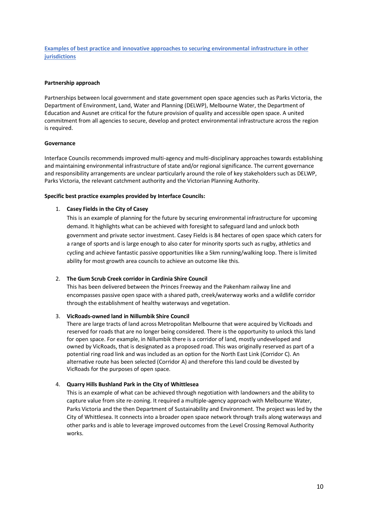<span id="page-11-0"></span>**Examples of best practice and innovative approaches to securing environmental infrastructure in other jurisdictions**

#### **Partnership approach**

Partnerships between local government and state government open space agencies such as Parks Victoria, the Department of Environment, Land, Water and Planning (DELWP), Melbourne Water, the Department of Education and Ausnet are critical for the future provision of quality and accessible open space. A united commitment from all agencies to secure, develop and protect environmental infrastructure across the region is required.

#### **Governance**

Interface Councils recommends improved multi-agency and multi-disciplinary approaches towards establishing and maintaining environmental infrastructure of state and/or regional significance. The current governance and responsibility arrangements are unclear particularly around the role of key stakeholders such as DELWP, Parks Victoria, the relevant catchment authority and the Victorian Planning Authority.

#### **Specific best practice examples provided by Interface Councils:**

#### 1. **Casey Fields in the City of Casey**

This is an example of planning for the future by securing environmental infrastructure for upcoming demand. It highlights what can be achieved with foresight to safeguard land and unlock both government and private sector investment. Casey Fields is 84 hectares of open space which caters for a range of sports and is large enough to also cater for minority sports such as rugby, athletics and cycling and achieve fantastic passive opportunities like a 5km running/walking loop. There is limited ability for most growth area councils to achieve an outcome like this.

#### 2. **The Gum Scrub Creek corridor in Cardinia Shire Council**

This has been delivered between the Princes Freeway and the Pakenham railway line and encompasses passive open space with a shared path, creek/waterway works and a wildlife corridor through the establishment of healthy waterways and vegetation.

#### 3. **VicRoads-owned land in Nillumbik Shire Council**

There are large tracts of land across Metropolitan Melbourne that were acquired by VicRoads and reserved for roads that are no longer being considered. There is the opportunity to unlock this land for open space. For example, in Nillumbik there is a corridor of land, mostly undeveloped and owned by VicRoads, that is designated as a proposed road. This was originally reserved as part of a potential ring road link and was included as an option for the North East Link (Corridor C). An alternative route has been selected (Corridor A) and therefore this land could be divested by VicRoads for the purposes of open space.

#### 4. **Quarry Hills Bushland Park in the City of Whittlesea**

<span id="page-11-1"></span>This is an example of what can be achieved through negotiation with landowners and the ability to capture value from site re-zoning. It required a multiple-agency approach with Melbourne Water, Parks Victoria and the then Department of Sustainability and Environment. The project was led by the City of Whittlesea. It connects into a broader open space network through trails along waterways and other parks and is able to leverage improved outcomes from the Level Crossing Removal Authority works.